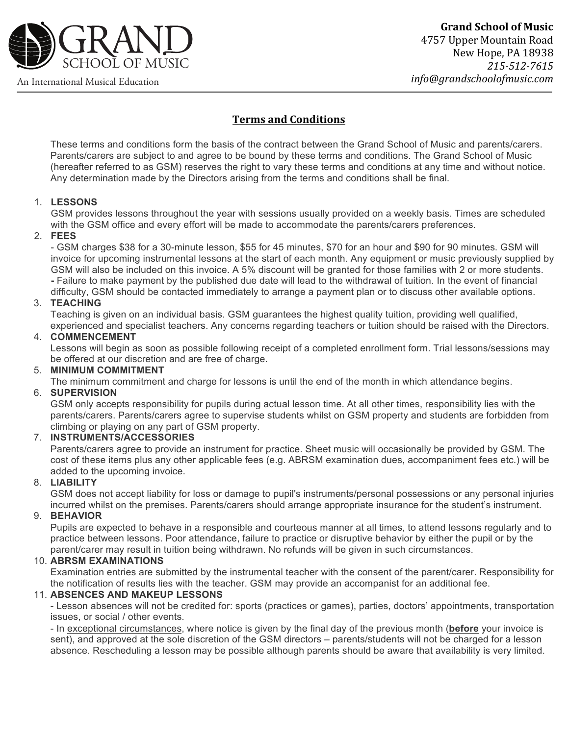

**Grand School of Music** 4757 Upper Mountain Road New Hope, PA 18938 *215-512-7615 info@grandschoolofmusic.com*

# **Terms and Conditions**

These terms and conditions form the basis of the contract between the Grand School of Music and parents/carers. Parents/carers are subject to and agree to be bound by these terms and conditions. The Grand School of Music (hereafter referred to as GSM) reserves the right to vary these terms and conditions at any time and without notice. Any determination made by the Directors arising from the terms and conditions shall be final.

# 1. **LESSONS**

GSM provides lessons throughout the year with sessions usually provided on a weekly basis. Times are scheduled with the GSM office and every effort will be made to accommodate the parents/carers preferences.

# 2. **FEES**

- GSM charges \$38 for a 30-minute lesson, \$55 for 45 minutes, \$70 for an hour and \$90 for 90 minutes. GSM will invoice for upcoming instrumental lessons at the start of each month. Any equipment or music previously supplied by GSM will also be included on this invoice. A 5% discount will be granted for those families with 2 or more students. **-** Failure to make payment by the published due date will lead to the withdrawal of tuition. In the event of financial difficulty, GSM should be contacted immediately to arrange a payment plan or to discuss other available options.

# 3. **TEACHING**

Teaching is given on an individual basis. GSM guarantees the highest quality tuition, providing well qualified, experienced and specialist teachers. Any concerns regarding teachers or tuition should be raised with the Directors.

### 4. **COMMENCEMENT**

Lessons will begin as soon as possible following receipt of a completed enrollment form. Trial lessons/sessions may be offered at our discretion and are free of charge.

## 5. **MINIMUM COMMITMENT**

The minimum commitment and charge for lessons is until the end of the month in which attendance begins.

# 6. **SUPERVISION**

GSM only accepts responsibility for pupils during actual lesson time. At all other times, responsibility lies with the parents/carers. Parents/carers agree to supervise students whilst on GSM property and students are forbidden from climbing or playing on any part of GSM property.

# 7. **INSTRUMENTS/ACCESSORIES**

Parents/carers agree to provide an instrument for practice. Sheet music will occasionally be provided by GSM. The cost of these items plus any other applicable fees (e.g. ABRSM examination dues, accompaniment fees etc.) will be added to the upcoming invoice.

### 8. **LIABILITY**

GSM does not accept liability for loss or damage to pupil's instruments/personal possessions or any personal injuries incurred whilst on the premises. Parents/carers should arrange appropriate insurance for the student's instrument.

# 9. **BEHAVIOR**

Pupils are expected to behave in a responsible and courteous manner at all times, to attend lessons regularly and to practice between lessons. Poor attendance, failure to practice or disruptive behavior by either the pupil or by the parent/carer may result in tuition being withdrawn. No refunds will be given in such circumstances.

# 10. **ABRSM EXAMINATIONS**

Examination entries are submitted by the instrumental teacher with the consent of the parent/carer. Responsibility for the notification of results lies with the teacher. GSM may provide an accompanist for an additional fee.

### 11. **ABSENCES AND MAKEUP LESSONS**

- Lesson absences will not be credited for: sports (practices or games), parties, doctors' appointments, transportation issues, or social / other events.

- In exceptional circumstances, where notice is given by the final day of the previous month (**before** your invoice is sent), and approved at the sole discretion of the GSM directors – parents/students will not be charged for a lesson absence. Rescheduling a lesson may be possible although parents should be aware that availability is very limited.